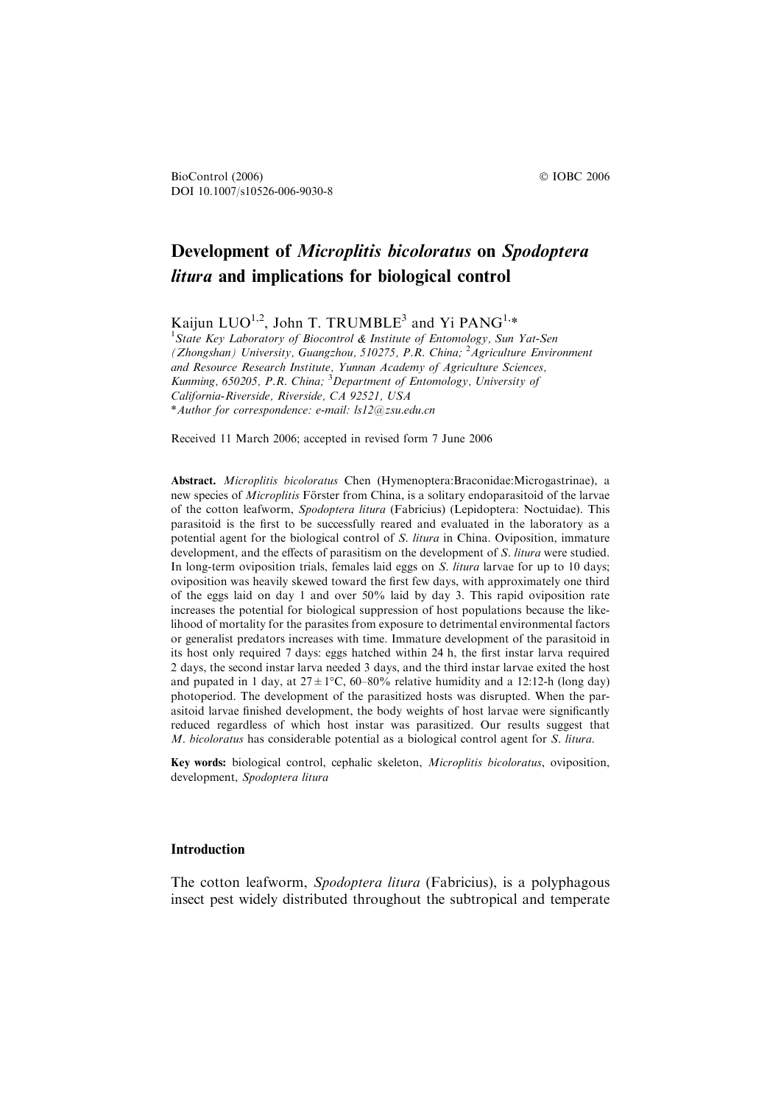IOBC 2006

BioControl (2006) DOI 10.1007/s10526-006-9030-8

# Development of Microplitis bicoloratus on Spodoptera litura and implications for biological control

Kaijun LUO<sup>1,2</sup>, John T. TRUMBLE<sup>3</sup> and Yi PANG<sup>1,\*</sup>

<sup>1</sup>State Key Laboratory of Biocontrol & Institute of Entomology, Sun Yat-Sen (Zhongshan) University, Guangzhou, 510275, P.R. China; <sup>2</sup>Agriculture Environment and Resource Research Institute, Yunnan Academy of Agriculture Sciences, Kunming,  $650205$ , P.R. China;  ${}^{3}$ Department of Entomology, University of California-Riverside, Riverside, CA 92521, USA \*Author for correspondence: e-mail: ls12@zsu.edu.cn

Received 11 March 2006; accepted in revised form 7 June 2006

Abstract. Microplitis bicoloratus Chen (Hymenoptera:Braconidae:Microgastrinae), a new species of Microplitis Förster from China, is a solitary endoparasitoid of the larvae of the cotton leafworm, Spodoptera litura (Fabricius) (Lepidoptera: Noctuidae). This parasitoid is the first to be successfully reared and evaluated in the laboratory as a potential agent for the biological control of S. litura in China. Oviposition, immature development, and the effects of parasitism on the development of S. litura were studied. In long-term oviposition trials, females laid eggs on S. *litura* larvae for up to 10 days; oviposition was heavily skewed toward the first few days, with approximately one third of the eggs laid on day 1 and over 50% laid by day 3. This rapid oviposition rate increases the potential for biological suppression of host populations because the likelihood of mortality for the parasites from exposure to detrimental environmental factors or generalist predators increases with time. Immature development of the parasitoid in its host only required 7 days: eggs hatched within 24 h, the first instar larva required 2 days, the second instar larva needed 3 days, and the third instar larvae exited the host and pupated in 1 day, at  $27 \pm 1^{\circ}\text{C}$ , 60–80% relative humidity and a 12:12-h (long day) photoperiod. The development of the parasitized hosts was disrupted. When the parasitoid larvae finished development, the body weights of host larvae were significantly reduced regardless of which host instar was parasitized. Our results suggest that M. bicoloratus has considerable potential as a biological control agent for S. litura.

Key words: biological control, cephalic skeleton, Microplitis bicoloratus, oviposition, development, Spodoptera litura

#### Introduction

The cotton leafworm, Spodoptera litura (Fabricius), is a polyphagous insect pest widely distributed throughout the subtropical and temperate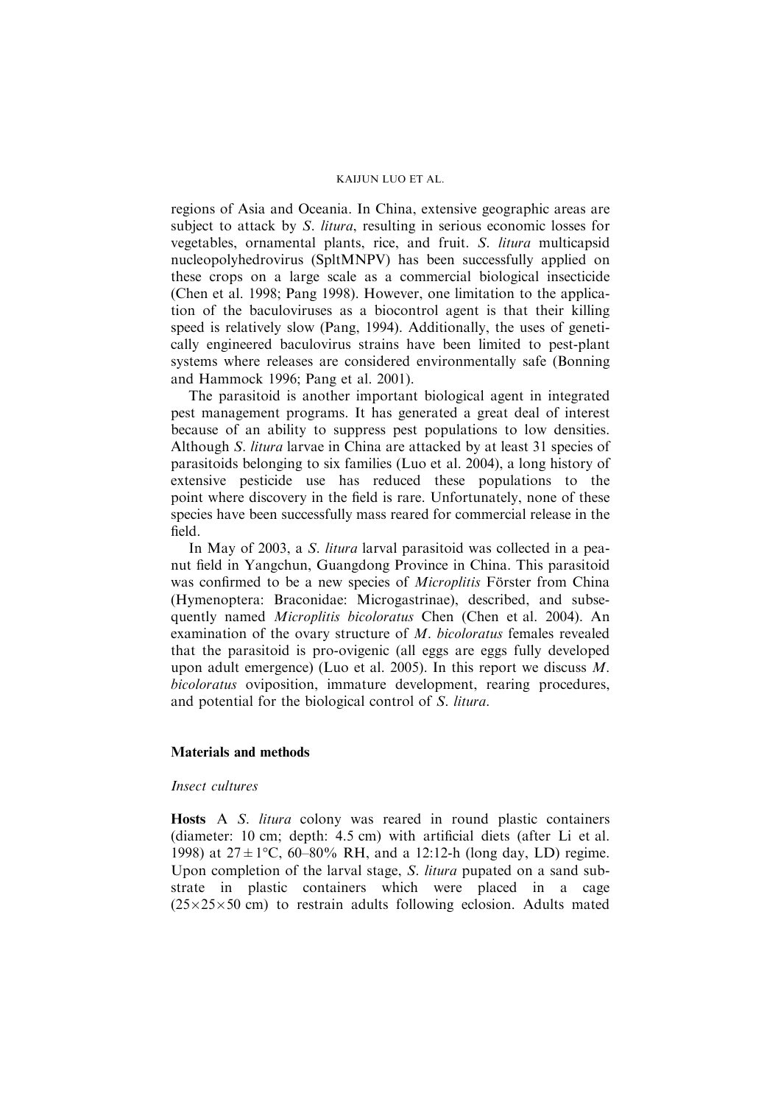regions of Asia and Oceania. In China, extensive geographic areas are subject to attack by S. *litura*, resulting in serious economic losses for vegetables, ornamental plants, rice, and fruit. S. litura multicapsid nucleopolyhedrovirus (SpltMNPV) has been successfully applied on these crops on a large scale as a commercial biological insecticide (Chen et al. 1998; Pang 1998). However, one limitation to the application of the baculoviruses as a biocontrol agent is that their killing speed is relatively slow (Pang, 1994). Additionally, the uses of genetically engineered baculovirus strains have been limited to pest-plant systems where releases are considered environmentally safe (Bonning and Hammock 1996; Pang et al. 2001).

The parasitoid is another important biological agent in integrated pest management programs. It has generated a great deal of interest because of an ability to suppress pest populations to low densities. Although S. litura larvae in China are attacked by at least 31 species of parasitoids belonging to six families (Luo et al. 2004), a long history of extensive pesticide use has reduced these populations to the point where discovery in the field is rare. Unfortunately, none of these species have been successfully mass reared for commercial release in the field.

In May of 2003, a S. litura larval parasitoid was collected in a peanut field in Yangchun, Guangdong Province in China. This parasitoid was confirmed to be a new species of *Microplitis* Förster from China (Hymenoptera: Braconidae: Microgastrinae), described, and subsequently named Microplitis bicoloratus Chen (Chen et al. 2004). An examination of the ovary structure of M. bicoloratus females revealed that the parasitoid is pro-ovigenic (all eggs are eggs fully developed upon adult emergence) (Luo et al. 2005). In this report we discuss  $M$ . bicoloratus oviposition, immature development, rearing procedures, and potential for the biological control of S. litura.

## Materials and methods

## Insect cultures

Hosts A S. litura colony was reared in round plastic containers (diameter: 10 cm; depth: 4.5 cm) with artificial diets (after Li et al. 1998) at  $27 \pm 1^{\circ}\text{C}$ , 60–80% RH, and a 12:12-h (long day, LD) regime. Upon completion of the larval stage, S. litura pupated on a sand substrate in plastic containers which were placed in a cage  $(25\times25\times50$  cm) to restrain adults following eclosion. Adults mated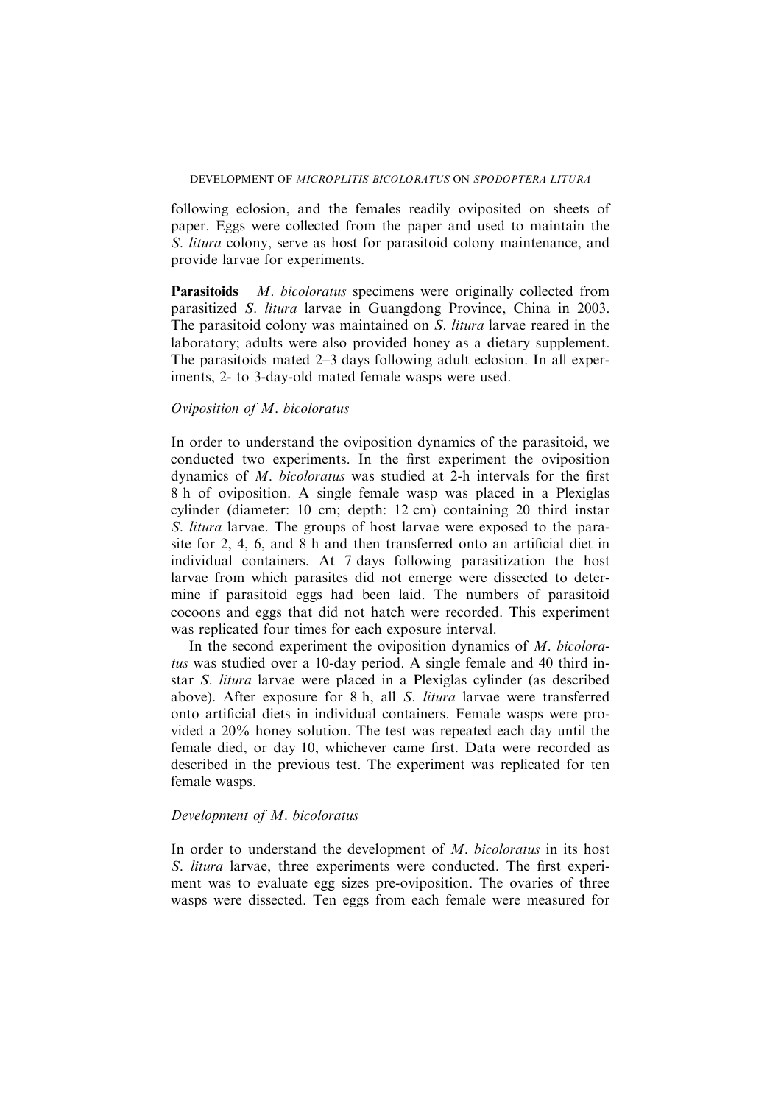following eclosion, and the females readily oviposited on sheets of paper. Eggs were collected from the paper and used to maintain the S. litura colony, serve as host for parasitoid colony maintenance, and provide larvae for experiments.

Parasitoids M. bicoloratus specimens were originally collected from parasitized S. litura larvae in Guangdong Province, China in 2003. The parasitoid colony was maintained on S. litura larvae reared in the laboratory; adults were also provided honey as a dietary supplement. The parasitoids mated 2–3 days following adult eclosion. In all experiments, 2- to 3-day-old mated female wasps were used.

## Oviposition of M. bicoloratus

In order to understand the oviposition dynamics of the parasitoid, we conducted two experiments. In the first experiment the oviposition dynamics of M. bicoloratus was studied at 2-h intervals for the first 8 h of oviposition. A single female wasp was placed in a Plexiglas cylinder (diameter: 10 cm; depth: 12 cm) containing 20 third instar S. litura larvae. The groups of host larvae were exposed to the parasite for 2, 4, 6, and 8 h and then transferred onto an artificial diet in individual containers. At 7 days following parasitization the host larvae from which parasites did not emerge were dissected to determine if parasitoid eggs had been laid. The numbers of parasitoid cocoons and eggs that did not hatch were recorded. This experiment was replicated four times for each exposure interval.

In the second experiment the oviposition dynamics of  $M$ . bicoloratus was studied over a 10-day period. A single female and 40 third instar S. litura larvae were placed in a Plexiglas cylinder (as described above). After exposure for 8 h, all S. litura larvae were transferred onto artificial diets in individual containers. Female wasps were provided a 20% honey solution. The test was repeated each day until the female died, or day 10, whichever came first. Data were recorded as described in the previous test. The experiment was replicated for ten female wasps.

### Development of M. bicoloratus

In order to understand the development of M. bicoloratus in its host S. litura larvae, three experiments were conducted. The first experiment was to evaluate egg sizes pre-oviposition. The ovaries of three wasps were dissected. Ten eggs from each female were measured for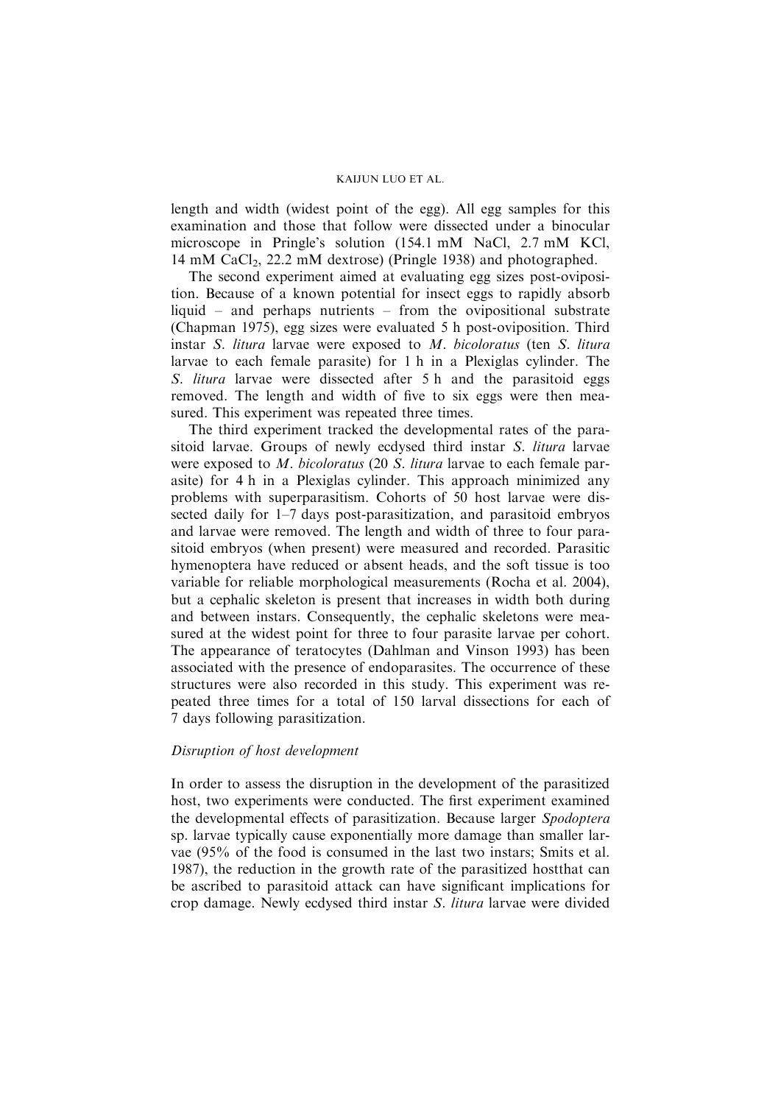length and width (widest point of the egg). All egg samples for this examination and those that follow were dissected under a binocular microscope in Pringle's solution (154.1 mM NaCl, 2.7 mM KCl, 14 mM CaCl<sub>2</sub>, 22.2 mM dextrose) (Pringle 1938) and photographed.

The second experiment aimed at evaluating egg sizes post-oviposition. Because of a known potential for insect eggs to rapidly absorb liquid – and perhaps nutrients – from the ovipositional substrate (Chapman 1975), egg sizes were evaluated 5 h post-oviposition. Third instar S. litura larvae were exposed to M. bicoloratus (ten S. litura larvae to each female parasite) for 1 h in a Plexiglas cylinder. The S. *litura* larvae were dissected after 5 h and the parasitoid eggs removed. The length and width of five to six eggs were then measured. This experiment was repeated three times.

The third experiment tracked the developmental rates of the parasitoid larvae. Groups of newly ecdysed third instar S. litura larvae were exposed to M. bicoloratus (20 S. litura larvae to each female parasite) for 4 h in a Plexiglas cylinder. This approach minimized any problems with superparasitism. Cohorts of 50 host larvae were dissected daily for 1–7 days post-parasitization, and parasitoid embryos and larvae were removed. The length and width of three to four parasitoid embryos (when present) were measured and recorded. Parasitic hymenoptera have reduced or absent heads, and the soft tissue is too variable for reliable morphological measurements (Rocha et al. 2004), but a cephalic skeleton is present that increases in width both during and between instars. Consequently, the cephalic skeletons were measured at the widest point for three to four parasite larvae per cohort. The appearance of teratocytes (Dahlman and Vinson 1993) has been associated with the presence of endoparasites. The occurrence of these structures were also recorded in this study. This experiment was repeated three times for a total of 150 larval dissections for each of 7 days following parasitization.

#### Disruption of host development

In order to assess the disruption in the development of the parasitized host, two experiments were conducted. The first experiment examined the developmental effects of parasitization. Because larger Spodoptera sp. larvae typically cause exponentially more damage than smaller larvae (95% of the food is consumed in the last two instars; Smits et al. 1987), the reduction in the growth rate of the parasitized hostthat can be ascribed to parasitoid attack can have significant implications for crop damage. Newly ecdysed third instar S. litura larvae were divided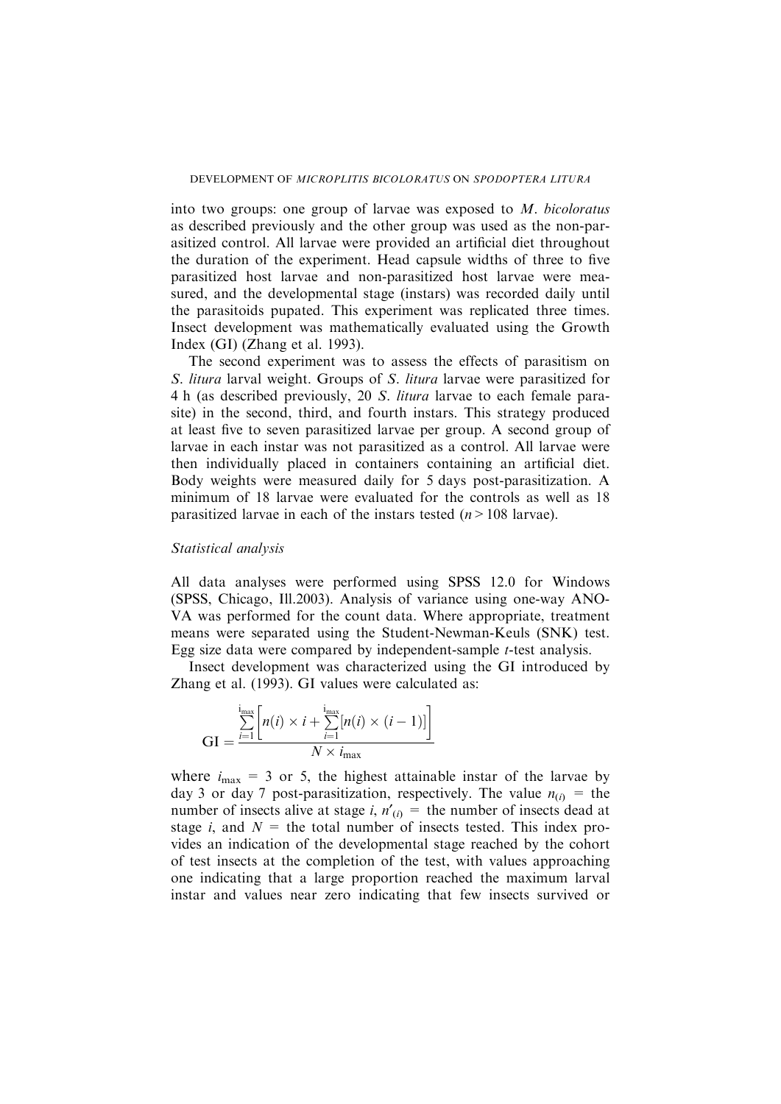into two groups: one group of larvae was exposed to M. bicoloratus as described previously and the other group was used as the non-parasitized control. All larvae were provided an artificial diet throughout the duration of the experiment. Head capsule widths of three to five parasitized host larvae and non-parasitized host larvae were measured, and the developmental stage (instars) was recorded daily until the parasitoids pupated. This experiment was replicated three times. Insect development was mathematically evaluated using the Growth Index (GI) (Zhang et al. 1993).

The second experiment was to assess the effects of parasitism on S. litura larval weight. Groups of S. litura larvae were parasitized for 4 h (as described previously, 20 S. litura larvae to each female parasite) in the second, third, and fourth instars. This strategy produced at least five to seven parasitized larvae per group. A second group of larvae in each instar was not parasitized as a control. All larvae were then individually placed in containers containing an artificial diet. Body weights were measured daily for 5 days post-parasitization. A minimum of 18 larvae were evaluated for the controls as well as 18 parasitized larvae in each of the instars tested  $(n > 108$  larvae).

#### Statistical analysis

All data analyses were performed using SPSS 12.0 for Windows (SPSS, Chicago, Ill.2003). Analysis of variance using one-way ANO-VA was performed for the count data. Where appropriate, treatment means were separated using the Student-Newman-Keuls (SNK) test. Egg size data were compared by independent-sample  $t$ -test analysis.

Insect development was characterized using the GI introduced by Zhang et al. (1993). GI values were calculated as:

$$
GI = \frac{\sum\limits_{i=1}^{i_{\text{max}}} \left[ n(i) \times i + \sum\limits_{i=1}^{i_{\text{max}}} [n(i) \times (i-1)] \right]}{N \times i_{\text{max}}}
$$

where  $i_{\text{max}} = 3$  or 5, the highest attainable instar of the larvae by day 3 or day 7 post-parasitization, respectively. The value  $n_{(i)} =$  the number of insects alive at stage i,  $n'_{(i)}$  = the number of insects dead at stage *i*, and  $N =$  the total number of insects tested. This index provides an indication of the developmental stage reached by the cohort of test insects at the completion of the test, with values approaching one indicating that a large proportion reached the maximum larval instar and values near zero indicating that few insects survived or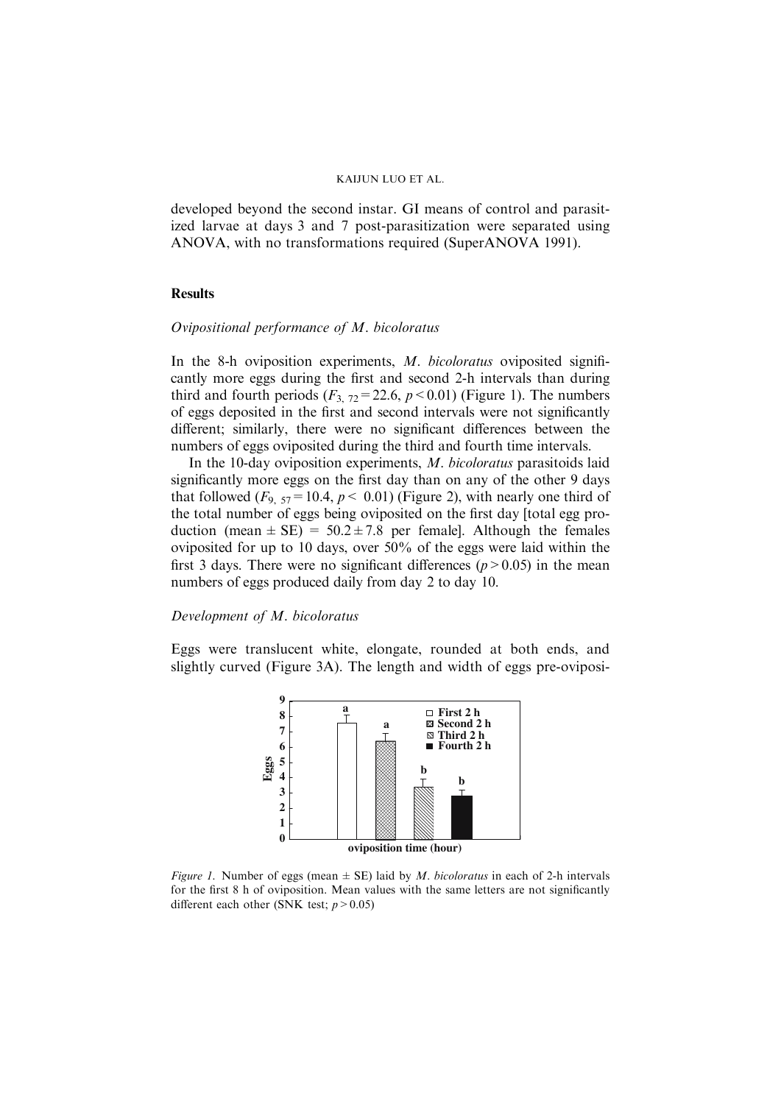developed beyond the second instar. GI means of control and parasitized larvae at days 3 and 7 post-parasitization were separated using ANOVA, with no transformations required (SuperANOVA 1991).

#### Results

#### Ovipositional performance of M. bicoloratus

In the 8-h oviposition experiments, M. bicoloratus oviposited significantly more eggs during the first and second 2-h intervals than during third and fourth periods ( $F_{3, 72}$ =22.6,  $p$  < 0.01) (Figure 1). The numbers of eggs deposited in the first and second intervals were not significantly different; similarly, there were no significant differences between the numbers of eggs oviposited during the third and fourth time intervals.

In the 10-day oviposition experiments, M. bicoloratus parasitoids laid significantly more eggs on the first day than on any of the other 9 days that followed  $(F_{9, 57} = 10.4, p < 0.01)$  (Figure 2), with nearly one third of the total number of eggs being oviposited on the first day [total egg production (mean  $\pm$  SE) = 50.2 $\pm$ 7.8 per female]. Although the females oviposited for up to 10 days, over 50% of the eggs were laid within the first 3 days. There were no significant differences ( $p > 0.05$ ) in the mean numbers of eggs produced daily from day 2 to day 10.

### Development of M. bicoloratus

Eggs were translucent white, elongate, rounded at both ends, and slightly curved (Figure 3A). The length and width of eggs pre-oviposi-



Figure 1. Number of eggs (mean  $\pm$  SE) laid by *M. bicoloratus* in each of 2-h intervals for the first 8 h of oviposition. Mean values with the same letters are not significantly different each other (SNK test;  $p > 0.05$ )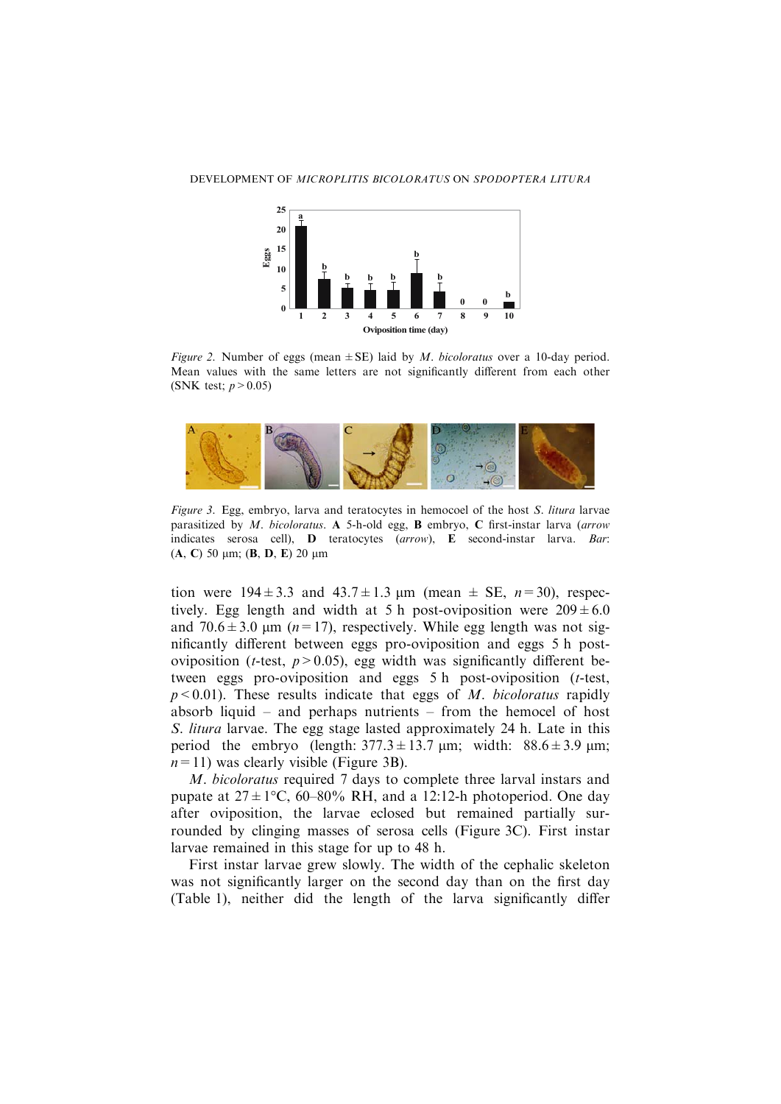

Figure 2. Number of eggs (mean  $\pm$  SE) laid by *M. bicoloratus* over a 10-day period. Mean values with the same letters are not significantly different from each other (SNK test;  $p > 0.05$ )



Figure 3. Egg, embryo, larva and teratocytes in hemocoel of the host S. litura larvae parasitized by  $M$ . bicoloratus. A 5-h-old egg,  $B$  embryo,  $C$  first-instar larva (arrow indicates serosa cell), D teratocytes (arrow), E second-instar larva. Bar: (A, C) 50  $\mu$ m; (B, D, E) 20  $\mu$ m

tion were  $194 \pm 3.3$  and  $43.7 \pm 1.3$  µm (mean  $\pm$  SE,  $n=30$ ), respectively. Egg length and width at 5 h post-oviposition were  $209 \pm 6.0$ and  $70.6 \pm 3.0$  µm (n=17), respectively. While egg length was not significantly different between eggs pro-oviposition and eggs 5 h postoviposition (*t*-test,  $p > 0.05$ ), egg width was significantly different between eggs pro-oviposition and eggs 5 h post-oviposition (t-test,  $p < 0.01$ ). These results indicate that eggs of M. bicoloratus rapidly absorb liquid – and perhaps nutrients – from the hemocel of host S. litura larvae. The egg stage lasted approximately 24 h. Late in this period the embryo (length:  $377.3 \pm 13.7$  µm; width:  $88.6 \pm 3.9$  µm;  $n=11$ ) was clearly visible (Figure 3B).

M. bicoloratus required 7 days to complete three larval instars and pupate at  $27 \pm 1$ °C, 60–80% RH, and a 12:12-h photoperiod. One day after oviposition, the larvae eclosed but remained partially surrounded by clinging masses of serosa cells (Figure 3C). First instar larvae remained in this stage for up to 48 h.

First instar larvae grew slowly. The width of the cephalic skeleton was not significantly larger on the second day than on the first day (Table 1), neither did the length of the larva significantly differ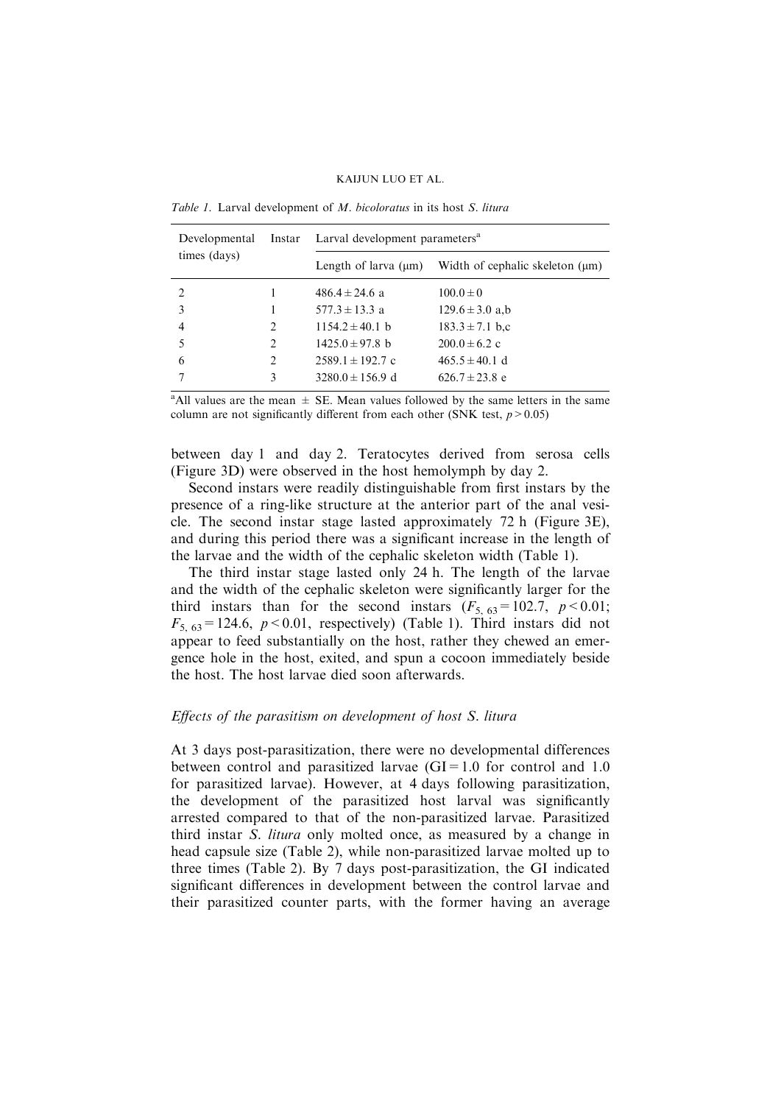| Developmental | Instar                        | Larval development parameters <sup>a</sup> |                                      |  |
|---------------|-------------------------------|--------------------------------------------|--------------------------------------|--|
| times (days)  |                               | Length of larva $(\mu m)$                  | Width of cephalic skeleton $(\mu m)$ |  |
| $\mathcal{L}$ |                               | $486.4 \pm 24.6$ a                         | $100.0 \pm 0$                        |  |
| 3             |                               | $577.3 \pm 13.3$ a                         | $129.6 \pm 3.0$ a,b                  |  |
| 4             | $\mathfrak{D}_{\mathfrak{p}}$ | $1154.2 \pm 40.1$ b                        | $183.3 \pm 7.1$ b.c                  |  |
| 5             | 2                             | $1425.0 \pm 97.8$ b                        | $200.0 \pm 6.2$ c                    |  |
| 6             | 2                             | $2589.1 \pm 192.7$ c                       | $465.5 \pm 40.1$ d                   |  |
|               | 3                             | $3280.0 \pm 156.9$ d                       | $626.7 \pm 23.8$ e                   |  |

Table 1. Larval development of M. bicoloratus in its host S. litura

<sup>a</sup>All values are the mean  $\pm$  SE. Mean values followed by the same letters in the same column are not significantly different from each other (SNK test,  $p > 0.05$ )

between day 1 and day 2. Teratocytes derived from serosa cells (Figure 3D) were observed in the host hemolymph by day 2.

Second instars were readily distinguishable from first instars by the presence of a ring-like structure at the anterior part of the anal vesicle. The second instar stage lasted approximately 72 h (Figure 3E), and during this period there was a significant increase in the length of the larvae and the width of the cephalic skeleton width (Table 1).

The third instar stage lasted only 24 h. The length of the larvae and the width of the cephalic skeleton were significantly larger for the third instars than for the second instars  $(F_{5, 63} = 102.7, p < 0.01;$  $F_{5, 63} = 124.6$ ,  $p < 0.01$ , respectively) (Table 1). Third instars did not appear to feed substantially on the host, rather they chewed an emergence hole in the host, exited, and spun a cocoon immediately beside the host. The host larvae died soon afterwards.

### Effects of the parasitism on development of host S. litura

At 3 days post-parasitization, there were no developmental differences between control and parasitized larvae  $(GI=1.0$  for control and 1.0 for parasitized larvae). However, at 4 days following parasitization, the development of the parasitized host larval was significantly arrested compared to that of the non-parasitized larvae. Parasitized third instar S. litura only molted once, as measured by a change in head capsule size (Table 2), while non-parasitized larvae molted up to three times (Table 2). By 7 days post-parasitization, the GI indicated significant differences in development between the control larvae and their parasitized counter parts, with the former having an average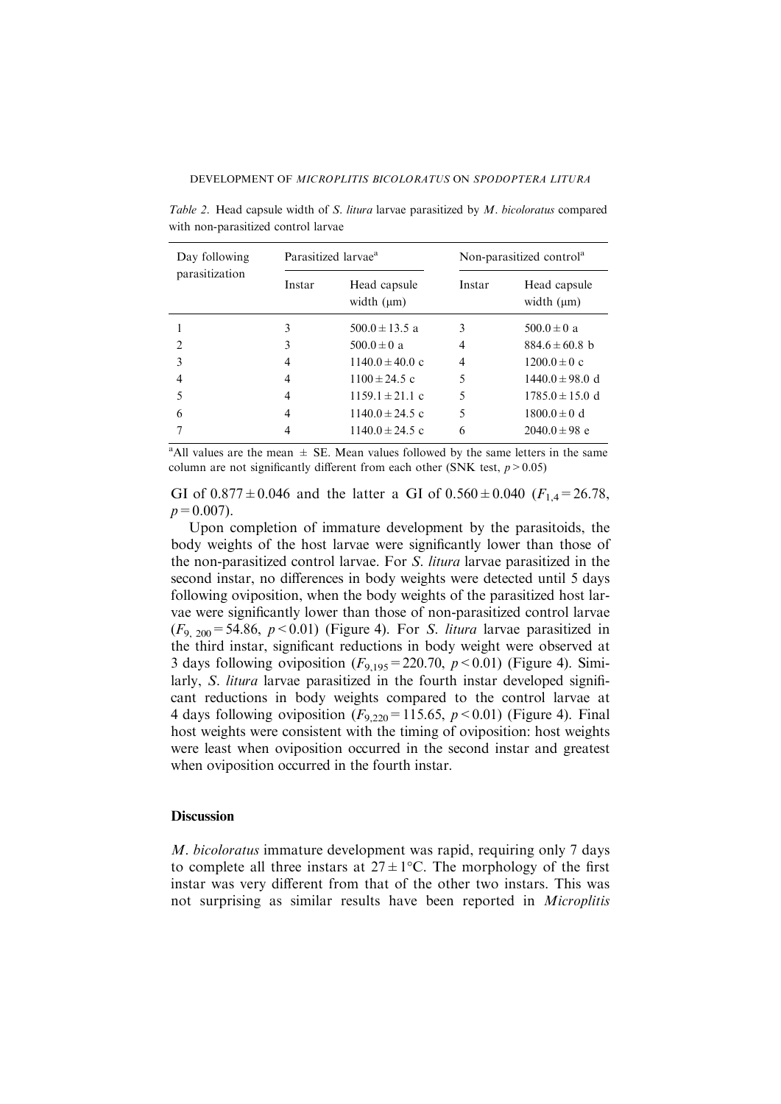Table 2. Head capsule width of S. litura larvae parasitized by M. bicoloratus compared with non-parasitized control larvae

| Day following  | Parasitized larvae <sup>a</sup> |                                 | Non-parasitized control <sup>a</sup> |                                 |
|----------------|---------------------------------|---------------------------------|--------------------------------------|---------------------------------|
| parasitization | Instar                          | Head capsule<br>width $(\mu m)$ | Instar                               | Head capsule<br>width $(\mu m)$ |
|                | 3                               | $500.0 \pm 13.5$ a              | 3                                    | $500.0 \pm 0$ a                 |
|                | 3                               | $500.0 \pm 0$ a                 | 4                                    | $884.6 \pm 60.8$ b              |
| 3              | 4                               | $1140.0 \pm 40.0$ c             | $\overline{4}$                       | $1200.0 \pm 0 c$                |
|                | 4                               | $1100 \pm 24.5$ c               | 5                                    | $1440.0 \pm 98.0$ d             |
|                | 4                               | $1159.1 \pm 21.1$ c             | 5                                    | $1785.0 \pm 15.0$ d             |
| 6              | 4                               | $1140.0 \pm 24.5$ c             | 5                                    | $1800.0 \pm 0 d$                |
|                | 4                               | $1140.0 \pm 24.5$ c             | 6                                    | $2040.0 \pm 98$ e               |

<sup>a</sup>All values are the mean  $\pm$  SE. Mean values followed by the same letters in the same column are not significantly different from each other (SNK test,  $p > 0.05$ )

GI of  $0.877 \pm 0.046$  and the latter a GI of  $0.560 \pm 0.040$  ( $F_{1,4} = 26.78$ ,  $p=0.007$ ).

Upon completion of immature development by the parasitoids, the body weights of the host larvae were significantly lower than those of the non-parasitized control larvae. For S. litura larvae parasitized in the second instar, no differences in body weights were detected until 5 days following oviposition, when the body weights of the parasitized host larvae were significantly lower than those of non-parasitized control larvae  $(F_{9, 200} = 54.86, p < 0.01)$  (Figure 4). For S. litura larvae parasitized in the third instar, significant reductions in body weight were observed at 3 days following oviposition  $(F_{9,195} = 220.70, p < 0.01)$  (Figure 4). Similarly, S. litura larvae parasitized in the fourth instar developed significant reductions in body weights compared to the control larvae at 4 days following oviposition  $(F_{9,220} = 115.65, p < 0.01)$  (Figure 4). Final host weights were consistent with the timing of oviposition: host weights were least when oviposition occurred in the second instar and greatest when oviposition occurred in the fourth instar.

#### **Discussion**

M. bicoloratus immature development was rapid, requiring only 7 days to complete all three instars at  $27 \pm 1$ °C. The morphology of the first instar was very different from that of the other two instars. This was not surprising as similar results have been reported in Microplitis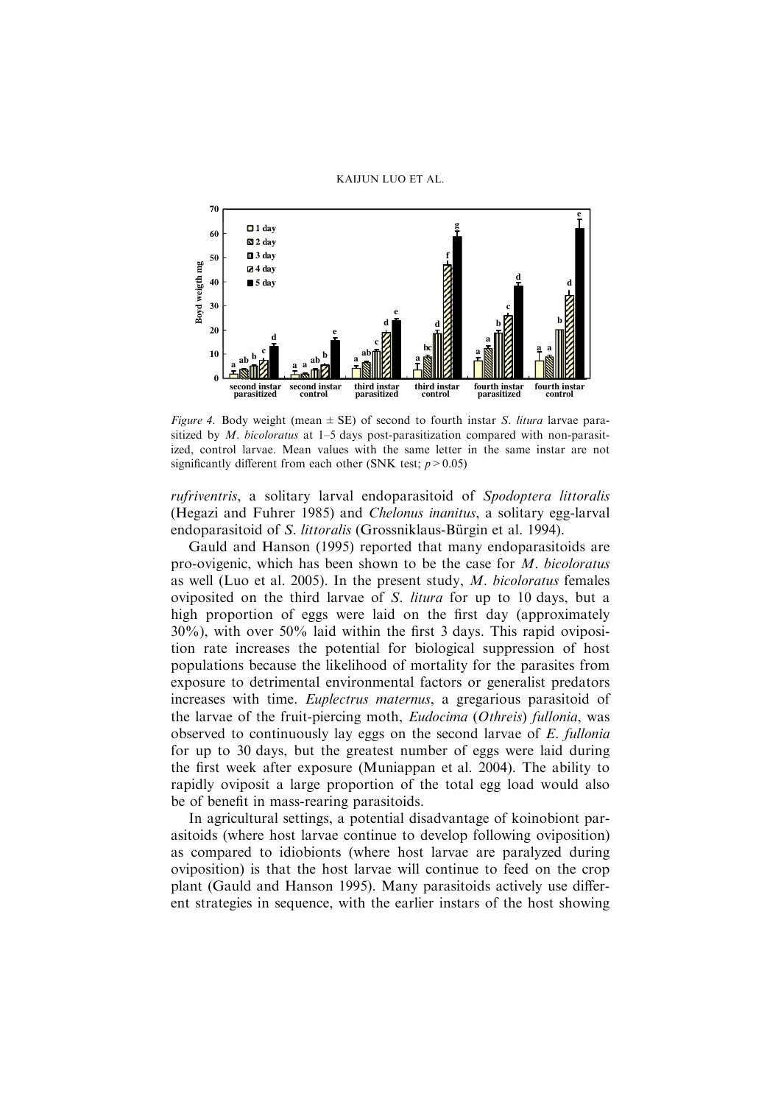

Figure 4. Body weight (mean  $\pm$  SE) of second to fourth instar *S. litura* larvae parasitized by *M. bicoloratus* at 1–5 days post-parasitization compared with non-parasitized, control larvae. Mean values with the same letter in the same instar are not significantly different from each other (SNK test;  $p > 0.05$ )

rufriventris, a solitary larval endoparasitoid of Spodoptera littoralis (Hegazi and Fuhrer 1985) and Chelonus inanitus, a solitary egg-larval endoparasitoid of *S. littoralis* (Grossniklaus-Bürgin et al. 1994).

Gauld and Hanson (1995) reported that many endoparasitoids are pro-ovigenic, which has been shown to be the case for M. bicoloratus as well (Luo et al. 2005). In the present study,  $M$ . bicoloratus females oviposited on the third larvae of S. litura for up to 10 days, but a high proportion of eggs were laid on the first day (approximately 30%), with over 50% laid within the first 3 days. This rapid oviposition rate increases the potential for biological suppression of host populations because the likelihood of mortality for the parasites from exposure to detrimental environmental factors or generalist predators increases with time. *Euplectrus maternus*, a gregarious parasitoid of the larvae of the fruit-piercing moth, Eudocima (Othreis) fullonia, was observed to continuously lay eggs on the second larvae of E. fullonia for up to 30 days, but the greatest number of eggs were laid during the first week after exposure (Muniappan et al. 2004). The ability to rapidly oviposit a large proportion of the total egg load would also be of benefit in mass-rearing parasitoids.

In agricultural settings, a potential disadvantage of koinobiont parasitoids (where host larvae continue to develop following oviposition) as compared to idiobionts (where host larvae are paralyzed during oviposition) is that the host larvae will continue to feed on the crop plant (Gauld and Hanson 1995). Many parasitoids actively use different strategies in sequence, with the earlier instars of the host showing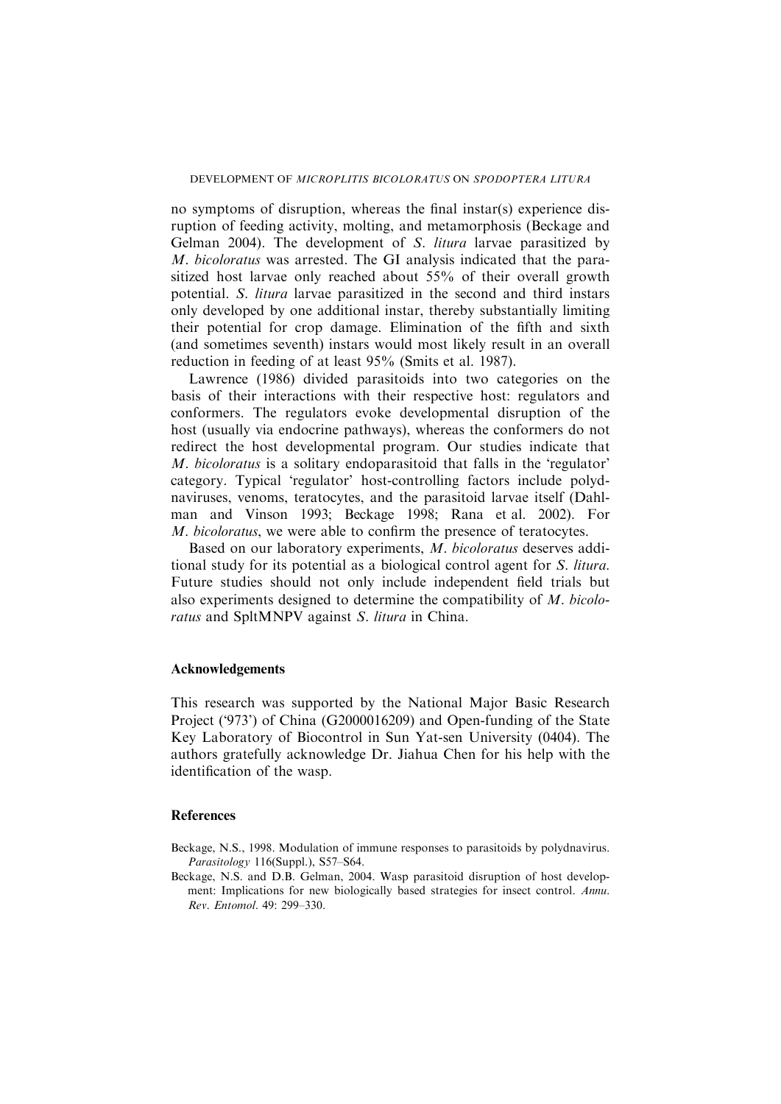no symptoms of disruption, whereas the final instar(s) experience disruption of feeding activity, molting, and metamorphosis (Beckage and Gelman 2004). The development of S. litura larvae parasitized by M. bicoloratus was arrested. The GI analysis indicated that the parasitized host larvae only reached about 55% of their overall growth potential. S. litura larvae parasitized in the second and third instars only developed by one additional instar, thereby substantially limiting their potential for crop damage. Elimination of the fifth and sixth (and sometimes seventh) instars would most likely result in an overall reduction in feeding of at least 95% (Smits et al. 1987).

Lawrence (1986) divided parasitoids into two categories on the basis of their interactions with their respective host: regulators and conformers. The regulators evoke developmental disruption of the host (usually via endocrine pathways), whereas the conformers do not redirect the host developmental program. Our studies indicate that M. bicoloratus is a solitary endoparasitoid that falls in the 'regulator' category. Typical 'regulator' host-controlling factors include polydnaviruses, venoms, teratocytes, and the parasitoid larvae itself (Dahlman and Vinson 1993; Beckage 1998; Rana et al. 2002). For M. bicoloratus, we were able to confirm the presence of teratocytes.

Based on our laboratory experiments, M. bicoloratus deserves additional study for its potential as a biological control agent for S. litura. Future studies should not only include independent field trials but also experiments designed to determine the compatibility of M. bicoloratus and SpltMNPV against *S. litura* in China.

#### Acknowledgements

This research was supported by the National Major Basic Research Project (973') of China (G2000016209) and Open-funding of the State Key Laboratory of Biocontrol in Sun Yat-sen University (0404). The authors gratefully acknowledge Dr. Jiahua Chen for his help with the identification of the wasp.

#### References

- Beckage, N.S., 1998. Modulation of immune responses to parasitoids by polydnavirus. Parasitology 116(Suppl.), S57–S64.
- Beckage, N.S. and D.B. Gelman, 2004. Wasp parasitoid disruption of host development: Implications for new biologically based strategies for insect control. Annu. Rev. Entomol. 49: 299–330.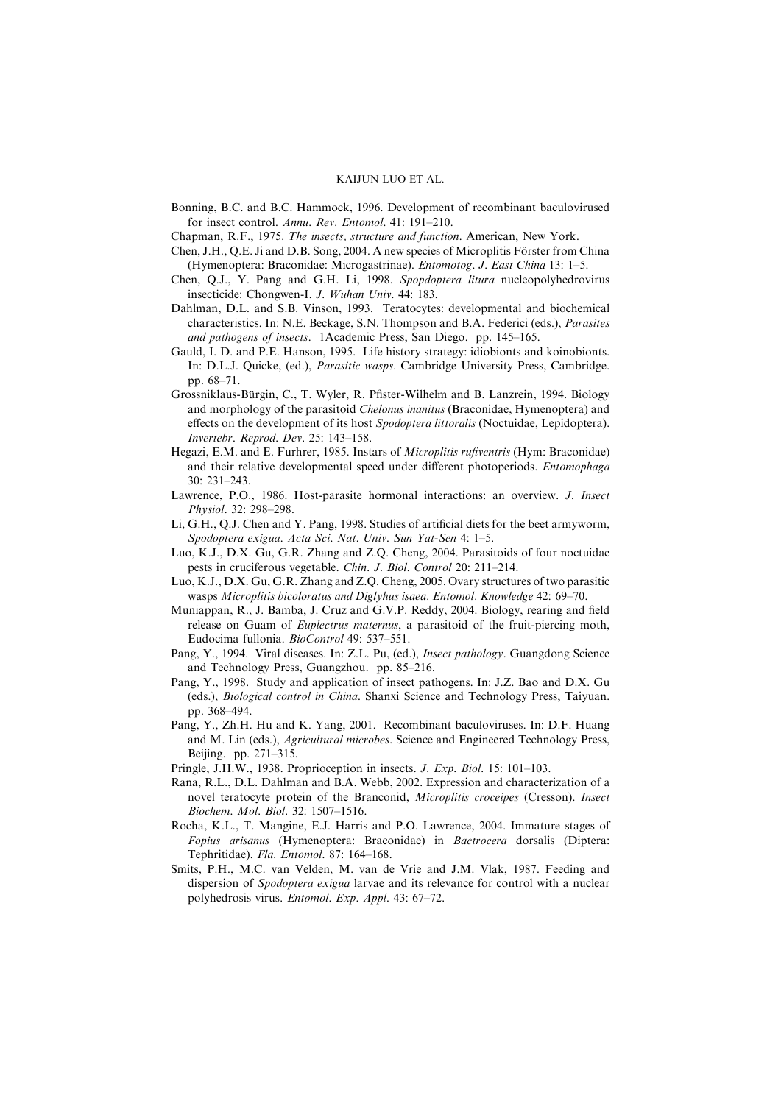- Bonning, B.C. and B.C. Hammock, 1996. Development of recombinant baculovirused for insect control. Annu. Rev. Entomol. 41: 191–210.
- Chapman, R.F., 1975. The insects, structure and function. American, New York.
- Chen, J.H., Q.E. Ji and D.B. Song, 2004. A new species of Microplitis Förster from China (Hymenoptera: Braconidae: Microgastrinae). Entomotog. J. East China 13: 1–5.
- Chen, Q.J., Y. Pang and G.H. Li, 1998. Spopdoptera litura nucleopolyhedrovirus insecticide: Chongwen-I. J. Wuhan Univ. 44: 183.
- Dahlman, D.L. and S.B. Vinson, 1993. Teratocytes: developmental and biochemical characteristics. In: N.E. Beckage, S.N. Thompson and B.A. Federici (eds.), Parasites and pathogens of insects. 1Academic Press, San Diego. pp. 145–165.
- Gauld, I. D. and P.E. Hanson, 1995. Life history strategy: idiobionts and koinobionts. In: D.L.J. Quicke, (ed.), Parasitic wasps. Cambridge University Press, Cambridge. pp. 68–71.
- Grossniklaus-Bürgin, C., T. Wyler, R. Pfister-Wilhelm and B. Lanzrein, 1994. Biology and morphology of the parasitoid Chelonus inanitus (Braconidae, Hymenoptera) and effects on the development of its host Spodoptera littoralis (Noctuidae, Lepidoptera). Invertebr. Reprod. Dev. 25: 143–158.
- Hegazi, E.M. and E. Furhrer, 1985. Instars of *Microplitis rufiventris* (Hym: Braconidae) and their relative developmental speed under different photoperiods. Entomophaga 30: 231–243.
- Lawrence, P.O., 1986. Host-parasite hormonal interactions: an overview. J. Insect Physiol. 32: 298–298.
- Li, G.H., Q.J. Chen and Y. Pang, 1998. Studies of artificial diets for the beet armyworm, Spodoptera exigua. Acta Sci. Nat. Univ. Sun Yat-Sen 4: 1–5.
- Luo, K.J., D.X. Gu, G.R. Zhang and Z.Q. Cheng, 2004. Parasitoids of four noctuidae pests in cruciferous vegetable. Chin. J. Biol. Control 20: 211–214.
- Luo, K.J., D.X. Gu, G.R. Zhang and Z.Q. Cheng, 2005. Ovary structures of two parasitic wasps Microplitis bicoloratus and Diglyhus isaea. Entomol. Knowledge 42: 69–70.
- Muniappan, R., J. Bamba, J. Cruz and G.V.P. Reddy, 2004. Biology, rearing and field release on Guam of Euplectrus maternus, a parasitoid of the fruit-piercing moth, Eudocima fullonia. BioControl 49: 537–551.
- Pang, Y., 1994. Viral diseases. In: Z.L. Pu, (ed.), *Insect pathology*. Guangdong Science and Technology Press, Guangzhou. pp. 85–216.
- Pang, Y., 1998. Study and application of insect pathogens. In: J.Z. Bao and D.X. Gu (eds.), Biological control in China. Shanxi Science and Technology Press, Taiyuan. pp. 368–494.
- Pang, Y., Zh.H. Hu and K. Yang, 2001. Recombinant baculoviruses. In: D.F. Huang and M. Lin (eds.), Agricultural microbes. Science and Engineered Technology Press, Beijing. pp. 271–315.
- Pringle, J.H.W., 1938. Proprioception in insects. *J. Exp. Biol.* 15: 101–103.
- Rana, R.L., D.L. Dahlman and B.A. Webb, 2002. Expression and characterization of a novel teratocyte protein of the Branconid, Microplitis croceipes (Cresson). Insect Biochem. Mol. Biol. 32: 1507–1516.
- Rocha, K.L., T. Mangine, E.J. Harris and P.O. Lawrence, 2004. Immature stages of Fopius arisanus (Hymenoptera: Braconidae) in Bactrocera dorsalis (Diptera: Tephritidae). Fla. Entomol. 87: 164–168.
- Smits, P.H., M.C. van Velden, M. van de Vrie and J.M. Vlak, 1987. Feeding and dispersion of Spodoptera exigua larvae and its relevance for control with a nuclear polyhedrosis virus. Entomol. Exp. Appl. 43: 67–72.